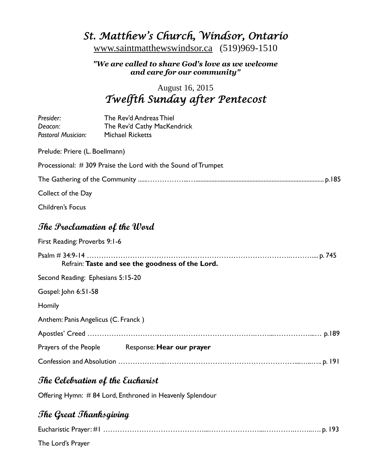# *St. Matthew's Church, Windsor, Ontario*

[www.saintmatthewswindsor.ca](http://www.saintmatthewswindsor.ca/) (519)969-1510

### *"We are called to share God's love as we welcome and care for our community"*

### August 16, 2015 *Twelfth Sunday after Pentecost*

| Presider:                                        | The Rev'd Andreas Thiel                                      |  |  |
|--------------------------------------------------|--------------------------------------------------------------|--|--|
| Deacon:<br>Pastoral Musician:                    | The Rev'd Cathy MacKendrick<br><b>Michael Ricketts</b>       |  |  |
| Prelude: Priere (L. Boellmann)                   |                                                              |  |  |
|                                                  |                                                              |  |  |
|                                                  | Processional: #309 Praise the Lord with the Sound of Trumpet |  |  |
|                                                  |                                                              |  |  |
| Collect of the Day                               |                                                              |  |  |
| <b>Children's Focus</b>                          |                                                              |  |  |
| The Proclamation of the Word                     |                                                              |  |  |
| First Reading: Proverbs 9:1-6                    |                                                              |  |  |
| Refrain: Taste and see the goodness of the Lord. |                                                              |  |  |
| Second Reading: Ephesians 5:15-20                |                                                              |  |  |
| Gospel: John 6:51-58                             |                                                              |  |  |
| Homily                                           |                                                              |  |  |
| Anthem: Panis Angelicus (C. Franck)              |                                                              |  |  |
|                                                  |                                                              |  |  |
|                                                  | Prayers of the People Response: Hear our prayer              |  |  |
|                                                  |                                                              |  |  |

### **The Celebration of the Eucharist**

Offering Hymn: # 84 Lord, Enthroned in Heavenly Splendour

## **The Great Thanksgiving**

The Lord's Prayer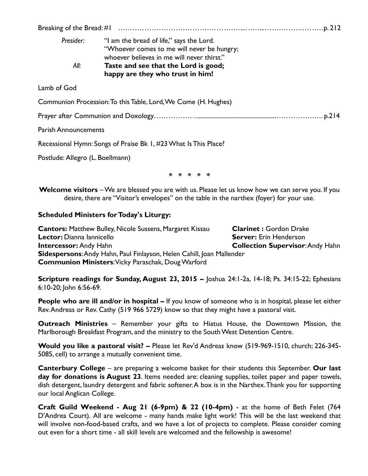| Presider:<br>All:                | "I am the bread of life," says the Lord.<br>"Whoever comes to me will never be hungry;<br>whoever believes in me will never thirst."<br>Taste and see that the Lord is good;<br>happy are they who trust in him! |  |
|----------------------------------|------------------------------------------------------------------------------------------------------------------------------------------------------------------------------------------------------------------|--|
| Lamb of God                      |                                                                                                                                                                                                                  |  |
|                                  | Communion Procession: To this Table, Lord, We Come (H. Hughes)                                                                                                                                                   |  |
|                                  |                                                                                                                                                                                                                  |  |
| <b>Parish Announcements</b>      |                                                                                                                                                                                                                  |  |
|                                  | Recessional Hymn: Songs of Praise Bk 1, #23 What Is This Place?                                                                                                                                                  |  |
| Postlude: Allegro (L. Boellmann) |                                                                                                                                                                                                                  |  |
| * * * * *                        |                                                                                                                                                                                                                  |  |
|                                  | <b>Welcome visitors</b> – We are blessed you are with us. Please let us know how we can serve you. If you<br>desire, there are "Visitor's envelopes" on the table in the narthex (foyer) for your use.           |  |
|                                  |                                                                                                                                                                                                                  |  |

#### **Scheduled Ministers for Today's Liturgy:**

**Cantors:** Matthew Bulley, Nicole Sussens, Margaret Kissau **Clarinet :** Gordon Drake **Lector:** Dianna Iannicello **Server:** Erin Henderson **Intercessor:** Andy Hahn **Collection Supervisor**: Andy Hahn **Sidespersons**: Andy Hahn, Paul Finlayson, Helen Cahill, Joan Mallender **Communion Ministers**: Vicky Paraschak, Doug Warford

**Scripture readings for Sunday, August 23, 2015 –** Joshua 24:1-2a, 14-18; Ps. 34:15-22; Ephesians 6:10-20; John 6:56-69.

**People who are ill and/or in hospital –** If you know of someone who is in hospital, please let either Rev. Andreas or Rev. Cathy (519 966 5729) know so that they might have a pastoral visit.

**Outreach Ministries** – Remember your gifts to Hiatus House, the Downtown Mission, the Marlborough Breakfast Program, and the ministry to the South West Detention Centre.

**Would you like a pastoral visit? –** Please let Rev'd Andreas know (519-969-1510, church; 226-345- 5085, cell) to arrange a mutually convenient time.

**Canterbury College** – are preparing a welcome basket for their students this September. **Our last day for donations is August 23**. Items needed are: cleaning supplies, toilet paper and paper towels, dish detergent, laundry detergent and fabric softener. A box is in the Narthex. Thank you for supporting our local Anglican College.

**Craft Guild Weekend - Aug 21 (6-9pm) & 22 (10-4pm)** - at the home of Beth Felet (764 D'Andrea Court). All are welcome - many hands make light work! This will be the last weekend that will involve non-food-based crafts, and we have a lot of projects to complete. Please consider coming out even for a short time - all skill levels are welcomed and the fellowship is awesome!